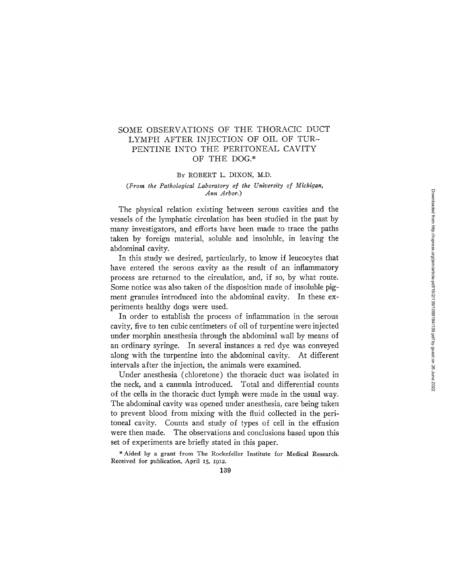# SOME OBSERVATIONS OF THE THORACIC DUCT LYMPH AFTER INJECTION OF OIL OF TUR-PENTINE INTO THE PERITONEAL CAVITY OF THE DOG.\*

#### BY ROBERT L. DIXON, M.D.

## *(From the Pathological Laboratory of the University of Michigan, Ann Arbor.)*

The physical relation existing between serous cavities and the vessels of the lymphatic circulation has been studied in the past by many investigators, and efforts have been made to trace the paths taken by foreign material, soluble and insoluble, in leaving the abdominal cavity.

In this study we desired, particularly, to know if leucocytes that have entered the serous cavity as the result of an inflammatory process are returned to the circulation, and, if so, by what route. Some notice was also taken of the disposition made of insoluble pigment granules introduced into the abdominal cavity. In these experiments healthy dogs were used.

In order to establish the process of inflammation in the serous cavity, five to ten cubic centimeters of oil of turpentine were injected under morphin anesthesia through the abdominal wall by means of an ordinary syringe. In several instances a red dye was conveyed along with the turpentine into the abdominal cavity. At different intervals after the injection, the animals were examined.

Under anesthesia (chloretone) the thoracic duct was isolated in the neck, and a cannula introduced. Total and differential counts of the cells in the thoracic duct lymph were made in the usual way. The abdominal cavity was opened under anesthesia, care being taken to prevent blood from mixing with the fluid collected in the peritoneal cavity. Counts and study of types of cell in the effusion were then made. The observations and conclusions based upon this set of experiments are briefly stated in this paper.

\* Aided by a grant from The Rockefeller Institute for Medical Research. Received for publication, April 15, *1912.*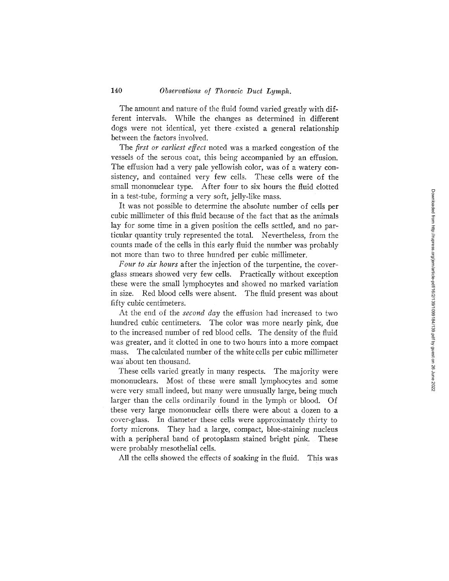The amount and nature of the fluid found varied greatly with different intervals. While the changes as determined in different dogs were not identical, yet there existed a generat relationship between the factors involved.

The *first or earliest effect* noted was a marked congestion of the vessels of the serous coat, this being accompanied by an effusion. The effusion had a very pale yellowish color, was of a watery consistency, and contained very few cells. These cells were of the small mononuclear type. After four to six hours the fluid clotted in a test-tube, forming a very soft, jelly-like mass.

It was not possible to determine the absolute number of cells per cubic millimeter of this fluid because of the fact that as the animals lay for some time in a given position the cells settled, and no particular quantity truly represented the total. Nevertheless, from the counts made of the cells in this early fluid the number was probably not more than two to three hundred per cubic millimeter.

*Four to sir hours* after the injection of the turpentine, the coverglass smears showed very few cells. Practically without exception these were the small lymphocytes and showed no marked variation in size. Red blood cells were absent. The fluid present was about fifty cubic centimeters.

At the end of the *second day* the effusion had increased to two hundred cubic centimeters. The color was more nearly pink, due to the increased number of red blood cells. The density of the fluid was greater, and it clotted in one to two hours into a more compact mass. The calculated number of the white cells per cubic millimeter was about ten thousand.

These cells varied greatly in many respects. The majority were mononuclears. Most of these were small lymphocytes and some were very small indeed, but many were unusually large, being much larger than the cells ordinarily found in the lymph or blood. Of these very large mononuclear cells there were about a dozen to a cover-glass. In diameter these cells were approximately thirty to forty microns. They had a large, compact, blue-staining nucleus with a peripheral band of protoplasm stained bright pink. These were probably mesothelial cells.

All the cells showed the effects of soaking in the fluid. This was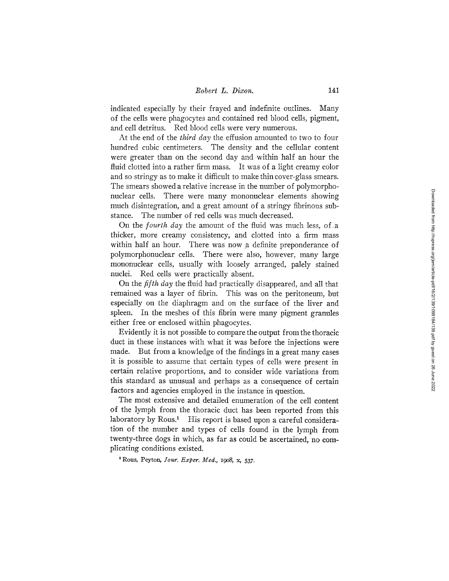## *Robert L. Dixon.* 141

indicated especially by their frayed and indefinite outlines. Many of the cells were phagocytes and contained red blood cells, pigment, and cell detritus. Red blood cells were very numerous.

At the end of the *third day* the effusion amounted to two to four hundred cubic centimeters. The density and the cellular content were greater than on the second day and within half an hour the fluid clotted into a rather firm mass. It was of a light creamy color and so stringy as to make it difficult to make thin cover-glass smears. The smears showed a relative increase in the number of polymorphonuclear cells. There were many mononuclear elements showing much disintegration, and a great amount of a stringy fibrinous substance. The number of red cells was much decreased.

On the *fourth day* the amount of the fluid was much less, of,a thicker, more creamy consistency, and clotted into a firm mass within half an hour. There was now a definite preponderance of polymorphonuclear cells. There were also, however, many large mononuclear cells, usually with loosely arranged, palely stained nuclei. Red cells were practically absent.

on the *fifth day* the fluid had practically disappeared, and all that remained was a layer of fibrin. This was on the peritoneum, but especially on the diaphragm and on the surface of the liver and spleen. In the meshes of this fibrin were many pigment granules either free or enclosed within phagocytes.

Evidently it is not possible to compare the output from the thoracic duct in these instances with what it was before the injections were made. But from a knowledge of the findings in a great many cases it is possible to assume that certain types of cells were present in certain relative proportions, and to consider wide variations from this standard as unusual and perhaps as a consequence of certain factors and agencies employed in the instance in question.

The most extensive and detailed enumeration of the cell content of the lymph from the thoracic duct has been reported from this laboratory by Rous.<sup>1</sup> His report is based upon a careful consideration of the number and types of cells found in the lymph from twenty-three dogs in which, as far as could be ascertained, no complicating conditions existed.

Rous, Peyton, *]our. Exper. Med.,* 19o8, x, 537.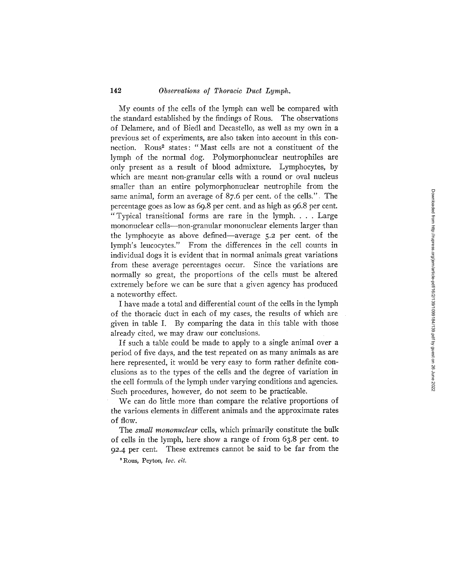## 142 *Observations of Thoracic Duct Lymph.*

My counts of the cells of the lymph can well be compared with the standard established by the findings of Rous. The observations of Delamere, and of Biedl and Decastello, as well as my own in a previous set of experiments, are also taken into account in this connection. Rous<sup>2</sup> states: "Mast cells are not a constituent of the lymph of the normal dog. Polymorphonuclear neutrophiles are only present as a result of blood admixture. Lymphocytes, by which are meant non-granular cells with a round or oval nucleus smaller than an entire polymorphonuclear neutrophile from the same animal, form an average of 87.6 per cent. of the cells.". The percentage goes as low as 69.8 per cent. and as high as 96.8 per cent. "Typical transitional forms are rare in the lymph.... Large mononuclear cells---non-granular mononuclear elements larger than the lymphocyte as above defined—average 5.2 per cent. of the lymph's leucocytes." From the differences in the cell counts in individual dogs it is evident that in normal animals great variations from these average percentages occur. Since the variations are normally so great, the proportions of the cells must be altered extremely before we can be sure that a given agency has produced a noteworthy effect.

I have made a total and differential count of the cells in the lymph of the thoracic duct in each of my cases, the results of which are given in table I. By comparing the data in this table with those already cited, we may draw our conclusions.

If such a table could be made to apply to a single animal over a period of five days, and the test repeated on as many animals as are here represented, it would be very easy to form rather definite conclusions as to the types of the cells and the degree of variation in the cell formula of the lymph under varying conditions and agencies. Such procedures, however, do not seem to be practicable.

We can do little more than compare the relative proportions of the various elements in different animals and the approximate rates of flow.

The *small mononuclear* cells, which primarily constitute the bulk of cells in the lymph, here show a range of from 63.8 per cent. to *92.4* per cent. These extremes cannot be said to be far from the

Rous, Peyton, *loc. cit.*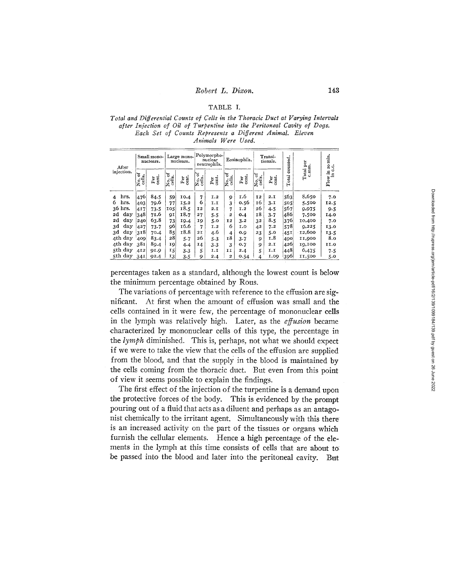## TABLE I.

#### *Total and Differential Counts of Cells in the Thoracic Duct at Varying Intervals after Injection of Oil of Turpentine into the Peritoneal Cavity of Dogs. Each Set of Counts Represents a Different Animal. Eleven Animals Were Used.*

| After                  | Small mono-<br>nuclears. |                    | Large mono-<br>nuclears. |              | Polymorpho-<br>nuclear<br>neutrophils. |                          | Eosinophils.                            |                   | Transi-<br>tionals.   |                  | counted | otal per<br>c.mm.  | ro min.<br>୍   |
|------------------------|--------------------------|--------------------|--------------------------|--------------|----------------------------------------|--------------------------|-----------------------------------------|-------------------|-----------------------|------------------|---------|--------------------|----------------|
| injection.             | ቴ<br>cells.<br>Įş        | Per <sub>t</sub> . | र्ष<br>cells.<br>ρ.<br>Σ | cent.<br>Per | र्ष<br>No. o<br>cells.<br>z            | cent.<br>P <sub>ci</sub> | ጜ<br>$\overline{\text{N}_\text{obs}}$ . | cent.<br>Per<br>P | ৳<br>No. of<br>cells. | Per <sub>t</sub> | Total   | Total <sup>-</sup> | ت<br>Flow in c |
| hrs.<br>$\overline{4}$ | 476                      | 84.5               | 59                       | 10.4         | 7                                      | I.2                      | 9                                       | I.6               | <b>I2</b>             | 2.1              | 563     | 8,650              | 7.0            |
| hrs.<br>6              | 403                      | 79.6               | 77                       | 15.2         | 6                                      | I.I                      | 3                                       | 0.56              | 16                    | 3. I             | 505     | 5,500              | 12.5           |
| 36 hrs.                | 417                      | $73 - 5$           | 105                      | 18.5         | 12                                     | 2.I                      | 7                                       | I.2               | 26                    | 4.5              | 567     | 9,975              | 9.5            |
| 2d<br>day              | 348                      | 71.6               | 9I                       | 18.7         | 27                                     | $5 - 5$                  | 2                                       | 0.4               | τ8                    | 3.7              | 486     | 7,500              | 14.0           |
| day<br>2d              | 240                      | 63.8               | 73                       | 19.4         | 19                                     | 5.0                      | 12                                      | 3.2               | 32                    | 8.5              | 376     | 10,400             | 7.0            |
| 3d<br>day              | 427                      | 73.7               | 96                       | 16.6         | 7                                      | I.2                      | 6                                       | 1.0               | 42                    | 7.2              | 578     | 9,225              | 13.0           |
| $_{\rm day}$<br>3d     | 318                      | 70.4               | 85                       | 18.8         | 2I                                     | 4.6                      | 4                                       | 0.9               | 23                    | 5.0              | 451     | 12,600             | 13.5           |
| 4th day                | 409                      | 83.4               | 28                       | 5.7          | 26                                     | $5 - 3$                  | <b>18</b>                               | 3.7               | 9                     | 1.8              | 490     | 11,900             | 8.0            |
| 4th day                | 381                      | 89.4               | 19                       | 4.4          | 14                                     | 3.3                      | 3                                       | 0.7               | 9                     | 2.1              | 4261    | 19,100             | 11.0           |
| 5th day                | 412                      | 91.9               | 15                       | $3 - 3$      | 5                                      | I.I                      | II                                      | 2.4               | 5                     | 1.1              | 448     | 6,475              | 7.5            |
| 5th day                | 34I                      | 92.4               | 13                       | $3 - 5$      | 9                                      | 2.4                      | $\mathbf{2}$                            | 0.54              | 4                     | 1.00             | 396     | 11,500             | 5.0            |

percentages taken as a standard, although the lowest count is below the minimum percentage obtained by Rous.

The variations of percentage with reference to the effusion are significant. At first when the amount of effusion was small and the cells contained in it were few, the percentage of mononuclear cells in the lymph was relatively high. Later, as the *effusion* became characterized by mononuclear cells of this type, the percentage in the *lymph* diminished. This is, perhaps, not what we should expect if we were to take the view that the cells of the effusion are supplied from the blood, and that the supply in the blood is maintained by the cells coming from the thoracic duct. But even from this point of view it seems possible to explain the findings.

The first effect of the injection of the turpentine is a demand upon the protective forces of the body. This is evidenced by the prompt pouring out of a fluid that acts as a diluent and perhaps as an antagonist chemically to the irritant agent. Simultaneously with this there is an increased activity on the part of the tissues or organs which furnish the cellular elements. Hence a high percentage of the elements in the lymph at this time consists of cells that are about to: be passed into the blood and later into the peritoneal cavity. But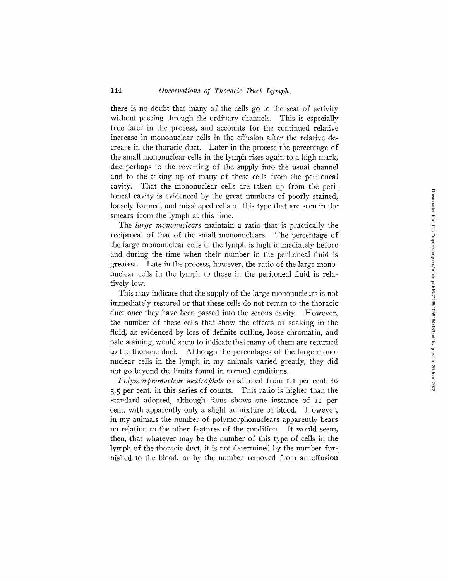there is no doubt that many of the cells go to the seat of activity without passing through the ordinary channels. This is especially true later in the process, and accounts for the continued relative increase in mononuclear cells in the effusion after the relative decrease in the thoracic duct. Later in the process the percentage of the small mononuclear ceils in the lymph rises again to a high mark, due perhaps to the reverting of the supply into the usual channel and to the taking up of many of these cells from the peritoneaI cavity. That the mononuclear cells are taken up from the peritoneal cavity is evidenced by the great numbers of poorly stained, loosely formed, and misshaped cells of this type that are seen in the smears from the lymph at this time.

The *large mononuclears* maintain a ratio that is practically the reciprocal of that of the small mononuclears. The percentage of the large mononuclear cells in the lymph is high immediately before and during the time when their number in the peritoneal fluid is greatest. Late in the process, however, the ratio of the large mononuclear cells in the lymph to those in the peritoneal fluid is relatively low.

This may indicate that the supply of the large mononuclears is not immediately restored or that these cells do not return to the thoracic duct once they have been passed into the serous cavity. However, the number of these cells that show the effects of soaking in the fluid, as evidenced by loss of definite outline, loose chromatin, and pale staining, would seem to indicate that many of them are returned to the thoracic duct. Although the percentages of the large mononuclear cells in the lymph in my animals varied greatly, they did not go beyond the limits found in normal conditions.

*Polymorphonuclear neutrophils* constituted from I.I per cent. to 5'5 per cent. in this series of counts. This ratio is higher than the standard adopted, although Rous shows one instance of II per cent. with apparently only a slight admixture of blood. However, in my animals the number of polymorphonuclears apparently bears no relation to the other features of the condition. It would seem, then, that whatever may be the number of this type of cells in the lymph of the thoracic duct, it is not determined by the number furnished to the blood, or by the number removed from an effusion'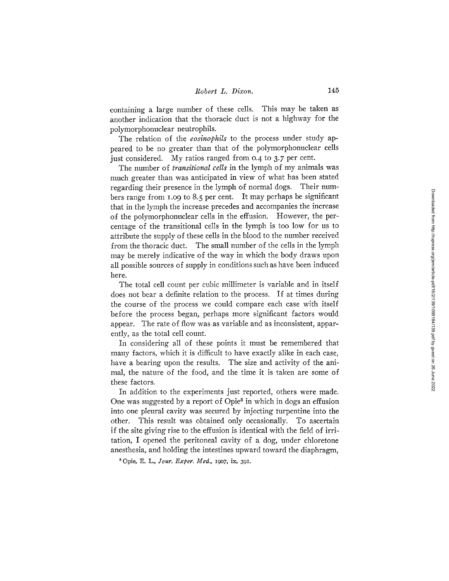containing a large number of these cells. This may be taken as another indication that the thoracic duct is not a highway for the polymorphonuclear neutrophils.

The relation of the *eosinophils* to the process under study appeared to be no greater than that of the polymorphonuclear cells just considered. My ratios ranged from 0.4 to 3.7 per cent.

The number of *transitional cells* in the lymph of my animals was much greater than was anticipated in view of what has been stated regarding their presence in the lymph of normal dogs. Their numbers range from 1.09 to 8.5 per cent. It may perhaps be significant that in the lymph the increase precedes and accompanies the increase :of the polymorphonuclear cells in the effusion. However, the percentage of the transitional cells in the lymph is too low for us to attribute the supply of these cells in the blood to the number received from the thoracic duct. The small number of the cells in the lymph may be merely indicative of the way in which the body draws upon all possible sources of supply in conditions such as have been induced here.

The total cell count per cubic millimeter is variable and in itself does not bear a definite relation to the process. If at times during the course of the process we could compare each case with itself before the process began, perhaps more significant factors would appear. The rate of flow was as variable and as inconsistent, apparently, as the total cell count.

In considering all of these points it must be remembered that many factors, which it is difficult to have exactly alike in each case, have a bearing upon the results. The size and activity of the animal, the nature of the food, and the time it is taken are some of these factors.

In addition to the experiments just reported, others were made. One was suggested by a report of Opie<sup>3</sup> in which in dogs an effusion into one pleural cavity was secured by injecting turpentine into the other. This result was obtained only occasionally. To ascertain if the site giving rise to the effusion is identical with the field of irritation, I opened the peritoneal cavity of a dog, under chloretone anesthesia, and holding the intestines upward toward the diaphragm,

30pie, E. L., *.four. Exper. Med., i9o7,* ix, 391.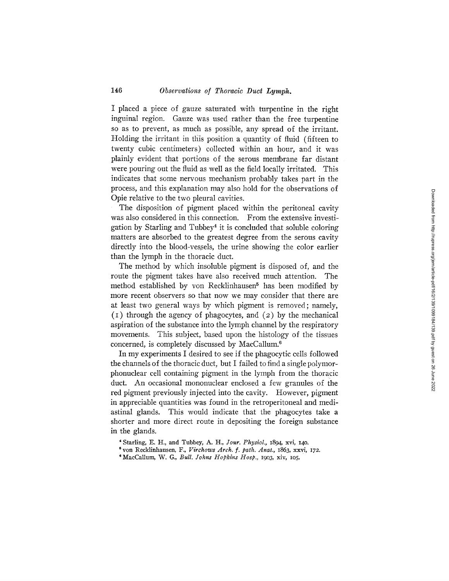I placed a piece of gauze saturated with turpentine in the right inguinal region. Gauze was used rather than the free turpentine so as to prevent, as much as possible, any spread of the irritant. Holding the irritant in this position a quantity of fluid (fifteen to twenty cubic centimeters) collected within an hour, and it was plainly evident that portions of the serous membrane far distant were pouring out the fluid as well as the field locally irritated. This indicates that some nervous mechanism probably takes part in the process, and this explanation may also hold for the observations of Opie relative to the two pleura1 cavities.

The disposition of pigment placed within the peritoneal cavity was also considered in this connection. From the extensive investigation by Starling and Tubbey<sup>4</sup> it is concluded that soluble coloring matters are absorbed to the greatest degree from the serous cavity directly into the blood-vessels, the urine showing the color earlier than the lymph in the thoracic duct.

The method by which insoluble pigment is disposed of, and the route the pigment takes have also received much attention. The method established by von Recklinhausen<sup>5</sup> has been modified by more recent observers so that now we may consider that there are at least two general ways by which pigment is removed; namely, (I) through the agency of phagocytes, and (2) by the mechanical aspiration of the substance into the lymph channel by the respiratory movements. This subject, based upon the histology of the tissues concerned, is completely discussed by MacCallum.<sup>6</sup>

In my experiments I desired to see if the phagocytic cells followed the channels of the thoracic duct, but I failed to find a single polymorphonuclear cell containing pigment in the lymph from the thoracic duct. An occasional mononuclear enclosed a few granules of the red pigment previously injected into the cavity. However, pigment in appreciable quantities was found in the retroperitoneal and mediastinal glands. This would indicate that the phagocytes take a shorter and more direct route in depositing the foreign substance in the glands.

<sup>4</sup> Starling, E. H., and Tubbey, A. H., *Your. Physiol.,* 1894, xvi, 14o.

<sup>5</sup>yon Recklinhansen, F., *Virchows Arch. f. path. Anat.,* 1863, xxvi, 172.

<sup>&</sup>lt;sup>6</sup> MacCallum, W. G., *Bull. Johns Hopkins Hosp.*, 1903, xiv, 105.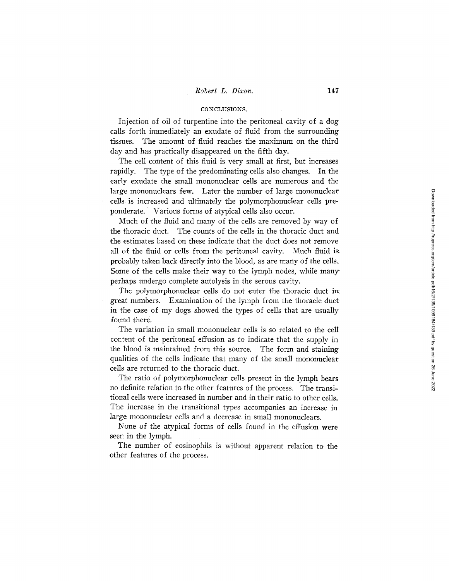## CONCLUSIONS.

Injection of oil of turpentine into the peritoneal cavity of a dog calls forth immediately an exudate of fluid from the surrounding tissues. The amount of fluid reaches the maximum on the third day and has practically disappeared on the fifth day.

The cell content of this fluid is very small at first, but increases rapidly. The type of the predominating cells also changes. In the early exudate the small mononuclear cells are numerous and the large mononuclears few. Later the number of large mononuclear cells is increased and ultimately the polymorphonuclear cells preponderate. Various forms of atypical cells also occur.

Much of the fluid and many of the cells are removed by way of the thoracic duct. The counts of the cells in the thoracic duct and the estimates based on these indicate that the duct does not remove all of the fluid or cells from the peritoneal cavity. Much fluid ia probably taken back directly into the blood, as are many of the cells. Some of the cells make their way to the lymph nodes, while many perhaps undergo complete autolysis in the serous cavity.

The polymorphonuclear cells do not enter the thoracic duct in great numbers. Examination of the lymph from the thoracic duct: in the case of my dogs showed the types of cells that are usually found there.

The variation in small mononuclear cells is so related to the celI content of the peritoneal effusion as to indicate that the supply in the blood is maintained from this source. The form and staining qualities of the cells indicate that many of the small mononuclear cells are returned to the thoracic duct.

The ratio of polymorphonuclear cells present in the lymph bears no definite relation to the other features of the process. The transitional cells were increased in number and in their ratio to other cells. The increase in the transitional types accompanies an increase in large mononuclear cells and a decrease in small mononuclears.

None of the atypical forms of cells found in the effusion were seen in the lymph.

The number of eosinophils is without apparent relation to the other features of the process.